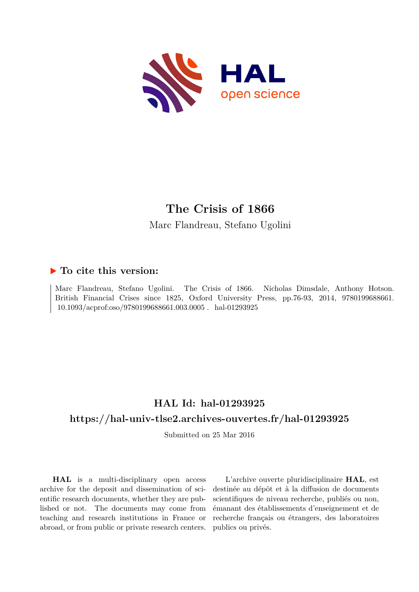

# **The Crisis of 1866**

Marc Flandreau, Stefano Ugolini

# **To cite this version:**

Marc Flandreau, Stefano Ugolini. The Crisis of 1866. Nicholas Dimsdale, Anthony Hotson. British Financial Crises since 1825, Oxford University Press, pp.76-93, 2014, 9780199688661.  $10.1093/a$ cprof:oso/9780199688661.003.0005. hal-01293925

# **HAL Id: hal-01293925 <https://hal-univ-tlse2.archives-ouvertes.fr/hal-01293925>**

Submitted on 25 Mar 2016

**HAL** is a multi-disciplinary open access archive for the deposit and dissemination of scientific research documents, whether they are published or not. The documents may come from teaching and research institutions in France or abroad, or from public or private research centers.

L'archive ouverte pluridisciplinaire **HAL**, est destinée au dépôt et à la diffusion de documents scientifiques de niveau recherche, publiés ou non, émanant des établissements d'enseignement et de recherche français ou étrangers, des laboratoires publics ou privés.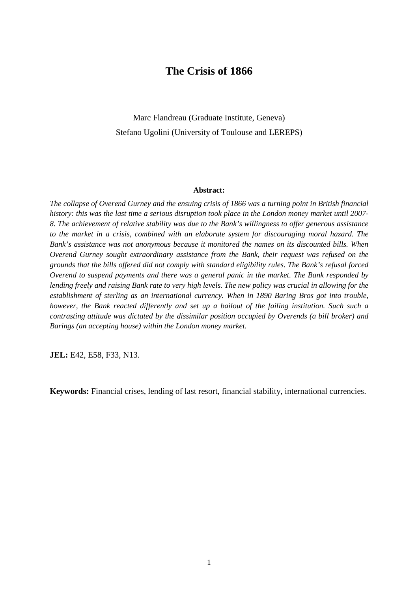# **The Crisis of 1866**

Marc Flandreau (Graduate Institute, Geneva) Stefano Ugolini (University of Toulouse and LEREPS)

#### **Abstract:**

*The collapse of Overend Gurney and the ensuing crisis of 1866 was a turning point in British financial history: this was the last time a serious disruption took place in the London money market until 2007- 8. The achievement of relative stability was due to the Bank's willingness to offer generous assistance to the market in a crisis, combined with an elaborate system for discouraging moral hazard. The Bank's assistance was not anonymous because it monitored the names on its discounted bills. When Overend Gurney sought extraordinary assistance from the Bank, their request was refused on the grounds that the bills offered did not comply with standard eligibility rules. The Bank's refusal forced Overend to suspend payments and there was a general panic in the market. The Bank responded by lending freely and raising Bank rate to very high levels. The new policy was crucial in allowing for the establishment of sterling as an international currency. When in 1890 Baring Bros got into trouble, however, the Bank reacted differently and set up a bailout of the failing institution. Such such a contrasting attitude was dictated by the dissimilar position occupied by Overends (a bill broker) and Barings (an accepting house) within the London money market.* 

**JEL:** E42, E58, F33, N13.

**Keywords:** Financial crises, lending of last resort, financial stability, international currencies.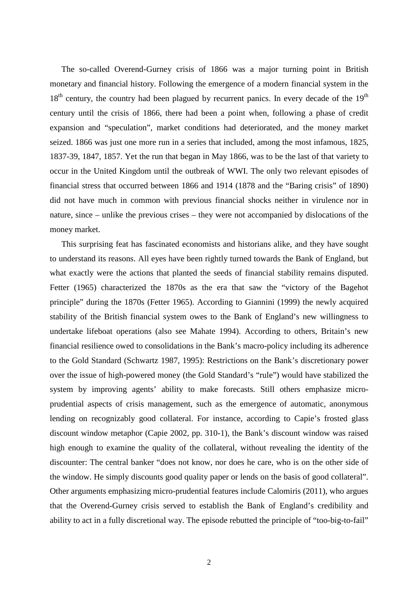The so-called Overend-Gurney crisis of 1866 was a major turning point in British monetary and financial history. Following the emergence of a modern financial system in the  $18<sup>th</sup>$  century, the country had been plagued by recurrent panics. In every decade of the  $19<sup>th</sup>$ century until the crisis of 1866, there had been a point when, following a phase of credit expansion and "speculation", market conditions had deteriorated, and the money market seized. 1866 was just one more run in a series that included, among the most infamous, 1825, 1837-39, 1847, 1857. Yet the run that began in May 1866, was to be the last of that variety to occur in the United Kingdom until the outbreak of WWI. The only two relevant episodes of financial stress that occurred between 1866 and 1914 (1878 and the "Baring crisis" of 1890) did not have much in common with previous financial shocks neither in virulence nor in nature, since – unlike the previous crises – they were not accompanied by dislocations of the money market.

This surprising feat has fascinated economists and historians alike, and they have sought to understand its reasons. All eyes have been rightly turned towards the Bank of England, but what exactly were the actions that planted the seeds of financial stability remains disputed. Fetter (1965) characterized the 1870s as the era that saw the "victory of the Bagehot principle" during the 1870s (Fetter 1965). According to Giannini (1999) the newly acquired stability of the British financial system owes to the Bank of England's new willingness to undertake lifeboat operations (also see Mahate 1994). According to others, Britain's new financial resilience owed to consolidations in the Bank's macro-policy including its adherence to the Gold Standard (Schwartz 1987, 1995): Restrictions on the Bank's discretionary power over the issue of high-powered money (the Gold Standard's "rule") would have stabilized the system by improving agents' ability to make forecasts. Still others emphasize microprudential aspects of crisis management, such as the emergence of automatic, anonymous lending on recognizably good collateral. For instance, according to Capie's frosted glass discount window metaphor (Capie 2002, pp. 310-1), the Bank's discount window was raised high enough to examine the quality of the collateral, without revealing the identity of the discounter: The central banker "does not know, nor does he care, who is on the other side of the window. He simply discounts good quality paper or lends on the basis of good collateral". Other arguments emphasizing micro-prudential features include Calomiris (2011), who argues that the Overend-Gurney crisis served to establish the Bank of England's credibility and ability to act in a fully discretional way. The episode rebutted the principle of "too-big-to-fail"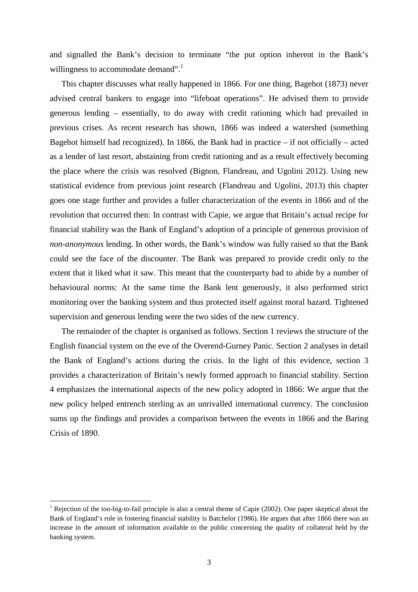and signalled the Bank's decision to terminate "the put option inherent in the Bank's willingness to accommodate demand".

This chapter discusses what really happened in 1866. For one thing, Bagehot (1873) never advised central bankers to engage into "lifeboat operations". He advised them to provide generous lending – essentially, to do away with credit rationing which had prevailed in previous crises. As recent research has shown, 1866 was indeed a watershed (something Bagehot himself had recognized). In 1866, the Bank had in practice  $-$  if not officially  $-$  acted as a lender of last resort, abstaining from credit rationing and as a result effectively becoming the place where the crisis was resolved (Bignon, Flandreau, and Ugolini 2012). Using new statistical evidence from previous joint research (Flandreau and Ugolini, 2013) this chapter goes one stage further and provides a fuller characterization of the events in 1866 and of the revolution that occurred then: In contrast with Capie, we argue that Britain's actual recipe for financial stability was the Bank of England's adoption of a principle of generous provision of *non-anonymous* lending. In other words, the Bank's window was fully raised so that the Bank could see the face of the discounter. The Bank was prepared to provide credit only to the extent that it liked what it saw. This meant that the counterparty had to abide by a number of behavioural norms: At the same time the Bank lent generously, it also performed strict monitoring over the banking system and thus protected itself against moral hazard. Tightened supervision and generous lending were the two sides of the new currency.

The remainder of the chapter is organised as follows. Section 1 reviews the structure of the English financial system on the eve of the Overend-Gurney Panic. Section 2 analyses in detail the Bank of England's actions during the crisis. In the light of this evidence, section 3 provides a characterization of Britain's newly formed approach to financial stability. Section 4 emphasizes the international aspects of the new policy adopted in 1866: We argue that the new policy helped entrench sterling as an unrivalled international currency. The conclusion sums up the findings and provides a comparison between the events in 1866 and the Baring Crisis of 1890.

 $\overline{a}$ 

<sup>&</sup>lt;sup>1</sup> Rejection of the too-big-to-fail principle is also a central theme of Capie (2002). One paper skeptical about the Bank of England's role in fostering financial stability is Batchelor (1986). He argues that after 1866 there was an increase in the amount of information available to the public concerning the quality of collateral held by the banking system.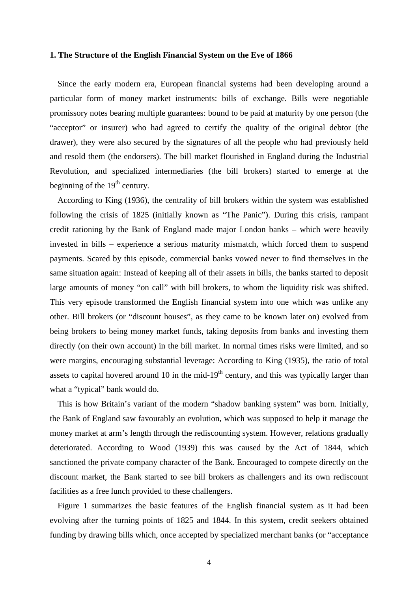## **1. The Structure of the English Financial System on the Eve of 1866**

Since the early modern era, European financial systems had been developing around a particular form of money market instruments: bills of exchange. Bills were negotiable promissory notes bearing multiple guarantees: bound to be paid at maturity by one person (the "acceptor" or insurer) who had agreed to certify the quality of the original debtor (the drawer), they were also secured by the signatures of all the people who had previously held and resold them (the endorsers). The bill market flourished in England during the Industrial Revolution, and specialized intermediaries (the bill brokers) started to emerge at the beginning of the  $19<sup>th</sup>$  century.

According to King (1936), the centrality of bill brokers within the system was established following the crisis of 1825 (initially known as "The Panic"). During this crisis, rampant credit rationing by the Bank of England made major London banks – which were heavily invested in bills – experience a serious maturity mismatch, which forced them to suspend payments. Scared by this episode, commercial banks vowed never to find themselves in the same situation again: Instead of keeping all of their assets in bills, the banks started to deposit large amounts of money "on call" with bill brokers, to whom the liquidity risk was shifted. This very episode transformed the English financial system into one which was unlike any other. Bill brokers (or "discount houses", as they came to be known later on) evolved from being brokers to being money market funds, taking deposits from banks and investing them directly (on their own account) in the bill market. In normal times risks were limited, and so were margins, encouraging substantial leverage: According to King (1935), the ratio of total assets to capital hovered around 10 in the mid-19<sup>th</sup> century, and this was typically larger than what a "typical" bank would do.

This is how Britain's variant of the modern "shadow banking system" was born. Initially, the Bank of England saw favourably an evolution, which was supposed to help it manage the money market at arm's length through the rediscounting system. However, relations gradually deteriorated. According to Wood (1939) this was caused by the Act of 1844, which sanctioned the private company character of the Bank. Encouraged to compete directly on the discount market, the Bank started to see bill brokers as challengers and its own rediscount facilities as a free lunch provided to these challengers.

Figure 1 summarizes the basic features of the English financial system as it had been evolving after the turning points of 1825 and 1844. In this system, credit seekers obtained funding by drawing bills which, once accepted by specialized merchant banks (or "acceptance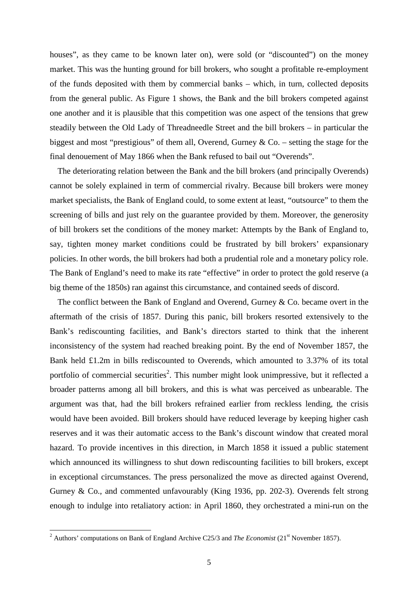houses", as they came to be known later on), were sold (or "discounted") on the money market. This was the hunting ground for bill brokers, who sought a profitable re-employment of the funds deposited with them by commercial banks – which, in turn, collected deposits from the general public. As Figure 1 shows, the Bank and the bill brokers competed against one another and it is plausible that this competition was one aspect of the tensions that grew steadily between the Old Lady of Threadneedle Street and the bill brokers – in particular the biggest and most "prestigious" of them all, Overend, Gurney & Co. – setting the stage for the final denouement of May 1866 when the Bank refused to bail out "Overends".

The deteriorating relation between the Bank and the bill brokers (and principally Overends) cannot be solely explained in term of commercial rivalry. Because bill brokers were money market specialists, the Bank of England could, to some extent at least, "outsource" to them the screening of bills and just rely on the guarantee provided by them. Moreover, the generosity of bill brokers set the conditions of the money market: Attempts by the Bank of England to, say, tighten money market conditions could be frustrated by bill brokers' expansionary policies. In other words, the bill brokers had both a prudential role and a monetary policy role. The Bank of England's need to make its rate "effective" in order to protect the gold reserve (a big theme of the 1850s) ran against this circumstance, and contained seeds of discord.

The conflict between the Bank of England and Overend, Gurney & Co. became overt in the aftermath of the crisis of 1857. During this panic, bill brokers resorted extensively to the Bank's rediscounting facilities, and Bank's directors started to think that the inherent inconsistency of the system had reached breaking point. By the end of November 1857, the Bank held £1.2m in bills rediscounted to Overends, which amounted to 3.37% of its total portfolio of commercial securities<sup>2</sup>. This number might look unimpressive, but it reflected a broader patterns among all bill brokers, and this is what was perceived as unbearable. The argument was that, had the bill brokers refrained earlier from reckless lending, the crisis would have been avoided. Bill brokers should have reduced leverage by keeping higher cash reserves and it was their automatic access to the Bank's discount window that created moral hazard. To provide incentives in this direction, in March 1858 it issued a public statement which announced its willingness to shut down rediscounting facilities to bill brokers, except in exceptional circumstances. The press personalized the move as directed against Overend, Gurney & Co., and commented unfavourably (King 1936, pp. 202-3). Overends felt strong enough to indulge into retaliatory action: in April 1860, they orchestrated a mini-run on the

<sup>&</sup>lt;sup>2</sup> Authors' computations on Bank of England Archive C25/3 and *The Economist* (21<sup>st</sup> November 1857).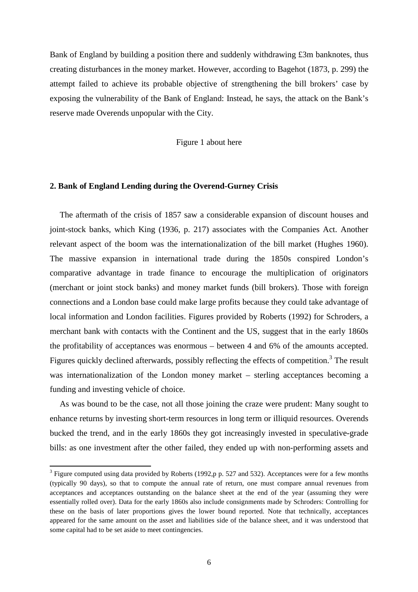Bank of England by building a position there and suddenly withdrawing £3m banknotes, thus creating disturbances in the money market. However, according to Bagehot (1873, p. 299) the attempt failed to achieve its probable objective of strengthening the bill brokers' case by exposing the vulnerability of the Bank of England: Instead, he says, the attack on the Bank's reserve made Overends unpopular with the City.

Figure 1 about here

## **2. Bank of England Lending during the Overend-Gurney Crisis**

The aftermath of the crisis of 1857 saw a considerable expansion of discount houses and joint-stock banks, which King (1936, p. 217) associates with the Companies Act. Another relevant aspect of the boom was the internationalization of the bill market (Hughes 1960). The massive expansion in international trade during the 1850s conspired London's comparative advantage in trade finance to encourage the multiplication of originators (merchant or joint stock banks) and money market funds (bill brokers). Those with foreign connections and a London base could make large profits because they could take advantage of local information and London facilities. Figures provided by Roberts (1992) for Schroders, a merchant bank with contacts with the Continent and the US, suggest that in the early 1860s the profitability of acceptances was enormous – between 4 and 6% of the amounts accepted. Figures quickly declined afterwards, possibly reflecting the effects of competition.<sup>3</sup> The result was internationalization of the London money market – sterling acceptances becoming a funding and investing vehicle of choice.

As was bound to be the case, not all those joining the craze were prudent: Many sought to enhance returns by investing short-term resources in long term or illiquid resources. Overends bucked the trend, and in the early 1860s they got increasingly invested in speculative-grade bills: as one investment after the other failed, they ended up with non-performing assets and

 $3$  Figure computed using data provided by Roberts (1992,p p. 527 and 532). Acceptances were for a few months (typically 90 days), so that to compute the annual rate of return, one must compare annual revenues from acceptances and acceptances outstanding on the balance sheet at the end of the year (assuming they were essentially rolled over). Data for the early 1860s also include consignments made by Schroders: Controlling for these on the basis of later proportions gives the lower bound reported. Note that technically, acceptances appeared for the same amount on the asset and liabilities side of the balance sheet, and it was understood that some capital had to be set aside to meet contingencies.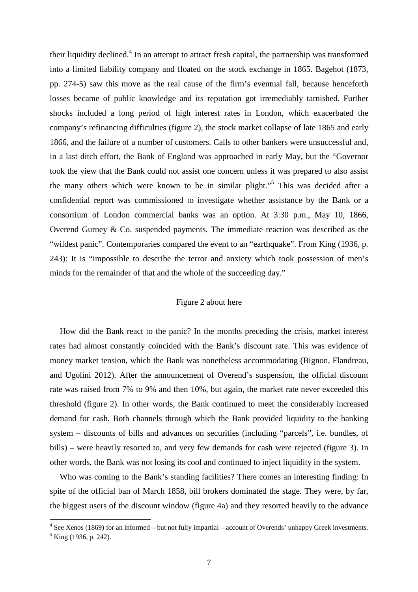their liquidity declined.<sup>4</sup> In an attempt to attract fresh capital, the partnership was transformed into a limited liability company and floated on the stock exchange in 1865. Bagehot (1873, pp. 274-5) saw this move as the real cause of the firm's eventual fall, because henceforth losses became of public knowledge and its reputation got irremediably tarnished. Further shocks included a long period of high interest rates in London, which exacerbated the company's refinancing difficulties (figure 2), the stock market collapse of late 1865 and early 1866, and the failure of a number of customers. Calls to other bankers were unsuccessful and, in a last ditch effort, the Bank of England was approached in early May, but the "Governor took the view that the Bank could not assist one concern unless it was prepared to also assist the many others which were known to be in similar plight."<sup>5</sup> This was decided after a confidential report was commissioned to investigate whether assistance by the Bank or a consortium of London commercial banks was an option. At 3:30 p.m., May 10, 1866, Overend Gurney & Co. suspended payments. The immediate reaction was described as the "wildest panic". Contemporaries compared the event to an "earthquake". From King (1936, p. 243): It is "impossible to describe the terror and anxiety which took possession of men's minds for the remainder of that and the whole of the succeeding day."

## Figure 2 about here

How did the Bank react to the panic? In the months preceding the crisis, market interest rates had almost constantly coincided with the Bank's discount rate. This was evidence of money market tension, which the Bank was nonetheless accommodating (Bignon, Flandreau, and Ugolini 2012). After the announcement of Overend's suspension, the official discount rate was raised from 7% to 9% and then 10%, but again, the market rate never exceeded this threshold (figure 2). In other words, the Bank continued to meet the considerably increased demand for cash. Both channels through which the Bank provided liquidity to the banking system – discounts of bills and advances on securities (including "parcels", i.e. bundles, of bills) – were heavily resorted to, and very few demands for cash were rejected (figure 3). In other words, the Bank was not losing its cool and continued to inject liquidity in the system.

Who was coming to the Bank's standing facilities? There comes an interesting finding: In spite of the official ban of March 1858, bill brokers dominated the stage. They were, by far, the biggest users of the discount window (figure 4a) and they resorted heavily to the advance

 $4$  See Xenos (1869) for an informed – but not fully impartial – account of Overends' unhappy Greek investments.

 $<sup>5</sup>$  King (1936, p. 242).</sup>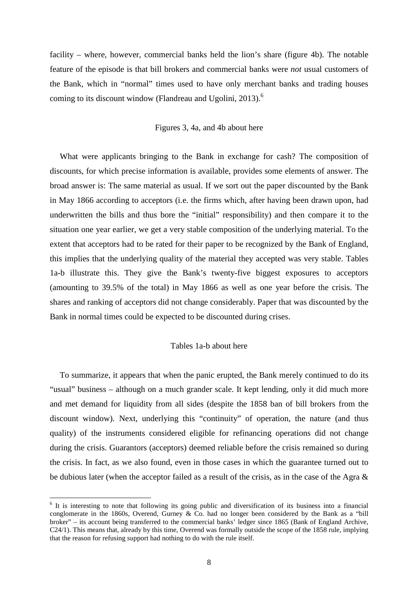facility – where, however, commercial banks held the lion's share (figure 4b). The notable feature of the episode is that bill brokers and commercial banks were *not* usual customers of the Bank, which in "normal" times used to have only merchant banks and trading houses coming to its discount window (Flandreau and Ugolini, 2013).<sup>6</sup>

# Figures 3, 4a, and 4b about here

What were applicants bringing to the Bank in exchange for cash? The composition of discounts, for which precise information is available, provides some elements of answer. The broad answer is: The same material as usual. If we sort out the paper discounted by the Bank in May 1866 according to acceptors (i.e. the firms which, after having been drawn upon, had underwritten the bills and thus bore the "initial" responsibility) and then compare it to the situation one year earlier, we get a very stable composition of the underlying material. To the extent that acceptors had to be rated for their paper to be recognized by the Bank of England, this implies that the underlying quality of the material they accepted was very stable. Tables 1a-b illustrate this. They give the Bank's twenty-five biggest exposures to acceptors (amounting to 39.5% of the total) in May 1866 as well as one year before the crisis. The shares and ranking of acceptors did not change considerably. Paper that was discounted by the Bank in normal times could be expected to be discounted during crises.

### Tables 1a-b about here

To summarize, it appears that when the panic erupted, the Bank merely continued to do its "usual" business – although on a much grander scale. It kept lending, only it did much more and met demand for liquidity from all sides (despite the 1858 ban of bill brokers from the discount window). Next, underlying this "continuity" of operation, the nature (and thus quality) of the instruments considered eligible for refinancing operations did not change during the crisis. Guarantors (acceptors) deemed reliable before the crisis remained so during the crisis. In fact, as we also found, even in those cases in which the guarantee turned out to be dubious later (when the acceptor failed as a result of the crisis, as in the case of the Agra &

<sup>&</sup>lt;sup>6</sup> It is interesting to note that following its going public and diversification of its business into a financial conglomerate in the 1860s, Overend, Gurney & Co. had no longer been considered by the Bank as a "bill broker" – its account being transferred to the commercial banks' ledger since 1865 (Bank of England Archive, C24/1). This means that, already by this time, Overend was formally outside the scope of the 1858 rule, implying that the reason for refusing support had nothing to do with the rule itself.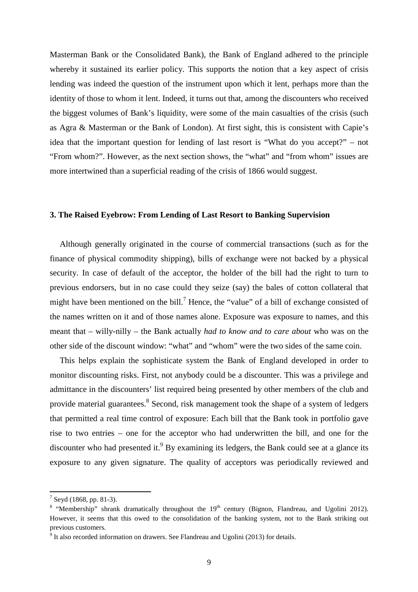Masterman Bank or the Consolidated Bank), the Bank of England adhered to the principle whereby it sustained its earlier policy. This supports the notion that a key aspect of crisis lending was indeed the question of the instrument upon which it lent, perhaps more than the identity of those to whom it lent. Indeed, it turns out that, among the discounters who received the biggest volumes of Bank's liquidity, were some of the main casualties of the crisis (such as Agra & Masterman or the Bank of London). At first sight, this is consistent with Capie's idea that the important question for lending of last resort is "What do you accept?" – not "From whom?". However, as the next section shows, the "what" and "from whom" issues are more intertwined than a superficial reading of the crisis of 1866 would suggest.

### **3. The Raised Eyebrow: From Lending of Last Resort to Banking Supervision**

Although generally originated in the course of commercial transactions (such as for the finance of physical commodity shipping), bills of exchange were not backed by a physical security. In case of default of the acceptor, the holder of the bill had the right to turn to previous endorsers, but in no case could they seize (say) the bales of cotton collateral that might have been mentioned on the bill.<sup>7</sup> Hence, the "value" of a bill of exchange consisted of the names written on it and of those names alone. Exposure was exposure to names, and this meant that – willy-nilly – the Bank actually *had to know and to care about* who was on the other side of the discount window: "what" and "whom" were the two sides of the same coin.

This helps explain the sophisticate system the Bank of England developed in order to monitor discounting risks. First, not anybody could be a discounter. This was a privilege and admittance in the discounters' list required being presented by other members of the club and provide material guarantees.<sup>8</sup> Second, risk management took the shape of a system of ledgers that permitted a real time control of exposure: Each bill that the Bank took in portfolio gave rise to two entries – one for the acceptor who had underwritten the bill, and one for the discounter who had presented it.<sup>9</sup> By examining its ledgers, the Bank could see at a glance its exposure to any given signature. The quality of acceptors was periodically reviewed and

 $7$  Seyd (1868, pp. 81-3).

<sup>&</sup>lt;sup>8</sup> "Membership" shrank dramatically throughout the  $19<sup>th</sup>$  century (Bignon, Flandreau, and Ugolini 2012). However, it seems that this owed to the consolidation of the banking system, not to the Bank striking out previous customers.

 $9$  It also recorded information on drawers. See Flandreau and Ugolini (2013) for details.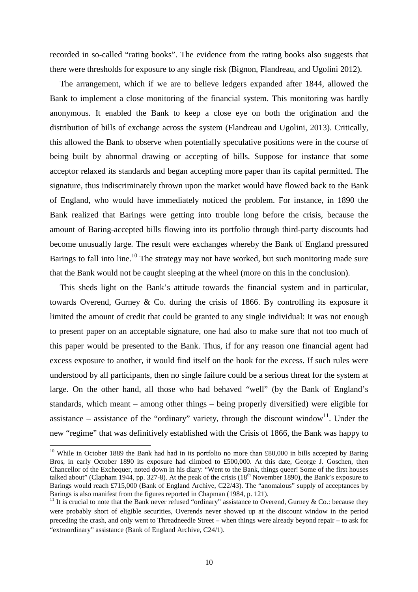recorded in so-called "rating books". The evidence from the rating books also suggests that there were thresholds for exposure to any single risk (Bignon, Flandreau, and Ugolini 2012).

The arrangement, which if we are to believe ledgers expanded after 1844, allowed the Bank to implement a close monitoring of the financial system. This monitoring was hardly anonymous. It enabled the Bank to keep a close eye on both the origination and the distribution of bills of exchange across the system (Flandreau and Ugolini, 2013). Critically, this allowed the Bank to observe when potentially speculative positions were in the course of being built by abnormal drawing or accepting of bills. Suppose for instance that some acceptor relaxed its standards and began accepting more paper than its capital permitted. The signature, thus indiscriminately thrown upon the market would have flowed back to the Bank of England, who would have immediately noticed the problem. For instance, in 1890 the Bank realized that Barings were getting into trouble long before the crisis, because the amount of Baring-accepted bills flowing into its portfolio through third-party discounts had become unusually large. The result were exchanges whereby the Bank of England pressured Barings to fall into line.<sup>10</sup> The strategy may not have worked, but such monitoring made sure that the Bank would not be caught sleeping at the wheel (more on this in the conclusion).

This sheds light on the Bank's attitude towards the financial system and in particular, towards Overend, Gurney & Co. during the crisis of 1866. By controlling its exposure it limited the amount of credit that could be granted to any single individual: It was not enough to present paper on an acceptable signature, one had also to make sure that not too much of this paper would be presented to the Bank. Thus, if for any reason one financial agent had excess exposure to another, it would find itself on the hook for the excess. If such rules were understood by all participants, then no single failure could be a serious threat for the system at large. On the other hand, all those who had behaved "well" (by the Bank of England's standards, which meant – among other things – being properly diversified) were eligible for assistance – assistance of the "ordinary" variety, through the discount window<sup>11</sup>. Under the new "regime" that was definitively established with the Crisis of 1866, the Bank was happy to

<sup>&</sup>lt;sup>10</sup> While in October 1889 the Bank had had in its portfolio no more than £80,000 in bills accepted by Baring Bros, in early October 1890 its exposure had climbed to £500,000. At this date, George J. Goschen, then Chancellor of the Exchequer, noted down in his diary: "Went to the Bank, things queer! Some of the first houses talked about" (Clapham 1944, pp. 327-8). At the peak of the crisis  $(18<sup>th</sup>$  November 1890), the Bank's exposure to Barings would reach £715,000 (Bank of England Archive, C22/43). The "anomalous" supply of acceptances by Barings is also manifest from the figures reported in Chapman (1984, p. 121).

<sup>&</sup>lt;sup>11</sup> It is crucial to note that the Bank never refused "ordinary" assistance to Overend, Gurney & Co.: because they were probably short of eligible securities, Overends never showed up at the discount window in the period preceding the crash, and only went to Threadneedle Street – when things were already beyond repair – to ask for "extraordinary" assistance (Bank of England Archive, C24/1).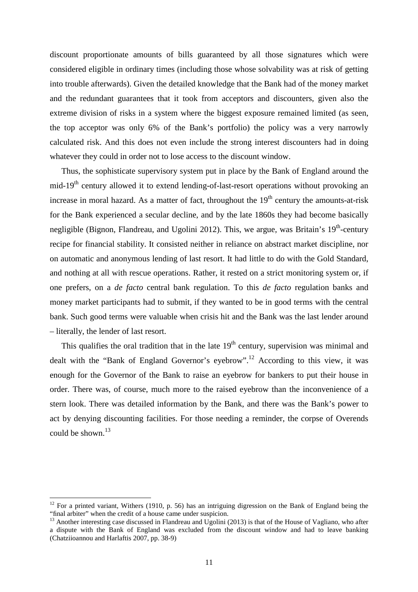discount proportionate amounts of bills guaranteed by all those signatures which were considered eligible in ordinary times (including those whose solvability was at risk of getting into trouble afterwards). Given the detailed knowledge that the Bank had of the money market and the redundant guarantees that it took from acceptors and discounters, given also the extreme division of risks in a system where the biggest exposure remained limited (as seen, the top acceptor was only 6% of the Bank's portfolio) the policy was a very narrowly calculated risk. And this does not even include the strong interest discounters had in doing whatever they could in order not to lose access to the discount window.

Thus, the sophisticate supervisory system put in place by the Bank of England around the mid-19<sup>th</sup> century allowed it to extend lending-of-last-resort operations without provoking an increase in moral hazard. As a matter of fact, throughout the  $19<sup>th</sup>$  century the amounts-at-risk for the Bank experienced a secular decline, and by the late 1860s they had become basically negligible (Bignon, Flandreau, and Ugolini 2012). This, we argue, was Britain's  $19<sup>th</sup>$ -century recipe for financial stability. It consisted neither in reliance on abstract market discipline, nor on automatic and anonymous lending of last resort. It had little to do with the Gold Standard, and nothing at all with rescue operations. Rather, it rested on a strict monitoring system or, if one prefers, on a *de facto* central bank regulation. To this *de facto* regulation banks and money market participants had to submit, if they wanted to be in good terms with the central bank. Such good terms were valuable when crisis hit and the Bank was the last lender around – literally, the lender of last resort.

This qualifies the oral tradition that in the late  $19<sup>th</sup>$  century, supervision was minimal and dealt with the "Bank of England Governor's eyebrow".<sup>12</sup> According to this view, it was enough for the Governor of the Bank to raise an eyebrow for bankers to put their house in order. There was, of course, much more to the raised eyebrow than the inconvenience of a stern look. There was detailed information by the Bank, and there was the Bank's power to act by denying discounting facilities. For those needing a reminder, the corpse of Overends could be shown. $13$ 

<sup>&</sup>lt;sup>12</sup> For a printed variant, Withers (1910, p. 56) has an intriguing digression on the Bank of England being the "final arbiter" when the credit of a house came under suspicion.

<sup>&</sup>lt;sup>13</sup> Another interesting case discussed in Flandreau and Ugolini (2013) is that of the House of Vagliano, who after a dispute with the Bank of England was excluded from the discount window and had to leave banking (Chatziioannou and Harlaftis 2007, pp. 38-9)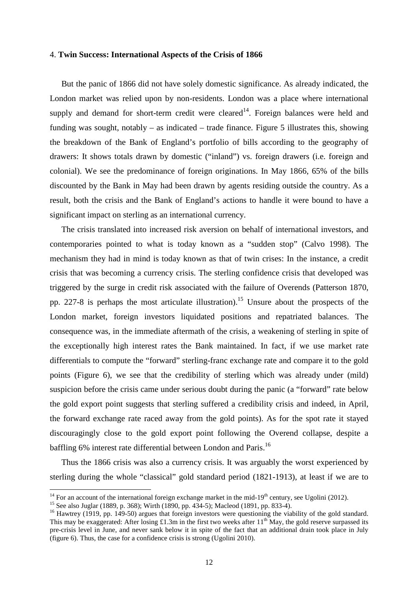#### 4. **Twin Success: International Aspects of the Crisis of 1866**

But the panic of 1866 did not have solely domestic significance. As already indicated, the London market was relied upon by non-residents. London was a place where international supply and demand for short-term credit were cleared $14$ . Foreign balances were held and funding was sought, notably – as indicated – trade finance. Figure 5 illustrates this, showing the breakdown of the Bank of England's portfolio of bills according to the geography of drawers: It shows totals drawn by domestic ("inland") vs. foreign drawers (i.e. foreign and colonial). We see the predominance of foreign originations. In May 1866, 65% of the bills discounted by the Bank in May had been drawn by agents residing outside the country. As a result, both the crisis and the Bank of England's actions to handle it were bound to have a significant impact on sterling as an international currency.

The crisis translated into increased risk aversion on behalf of international investors, and contemporaries pointed to what is today known as a "sudden stop" (Calvo 1998). The mechanism they had in mind is today known as that of twin crises: In the instance, a credit crisis that was becoming a currency crisis. The sterling confidence crisis that developed was triggered by the surge in credit risk associated with the failure of Overends (Patterson 1870, pp. 227-8 is perhaps the most articulate illustration).<sup>15</sup> Unsure about the prospects of the London market, foreign investors liquidated positions and repatriated balances. The consequence was, in the immediate aftermath of the crisis, a weakening of sterling in spite of the exceptionally high interest rates the Bank maintained. In fact, if we use market rate differentials to compute the "forward" sterling-franc exchange rate and compare it to the gold points (Figure 6), we see that the credibility of sterling which was already under (mild) suspicion before the crisis came under serious doubt during the panic (a "forward" rate below the gold export point suggests that sterling suffered a credibility crisis and indeed, in April, the forward exchange rate raced away from the gold points). As for the spot rate it stayed discouragingly close to the gold export point following the Overend collapse, despite a baffling 6% interest rate differential between London and Paris.<sup>16</sup>

Thus the 1866 crisis was also a currency crisis. It was arguably the worst experienced by sterling during the whole "classical" gold standard period (1821-1913), at least if we are to

 $\overline{a}$ 

<sup>&</sup>lt;sup>14</sup> For an account of the international foreign exchange market in the mid-19<sup>th</sup> century, see Ugolini (2012).

<sup>15</sup> See also Juglar (1889, p. 368); Wirth (1890, pp. 434-5); Macleod (1891, pp. 833-4).

<sup>&</sup>lt;sup>16</sup> Hawtrey (1919, pp. 149-50) argues that foreign investors were questioning the viability of the gold standard. This may be exaggerated: After losing £1.3m in the first two weeks after  $11^{th}$  May, the gold reserve surpassed its pre-crisis level in June, and never sank below it in spite of the fact that an additional drain took place in July (figure 6). Thus, the case for a confidence crisis is strong (Ugolini 2010).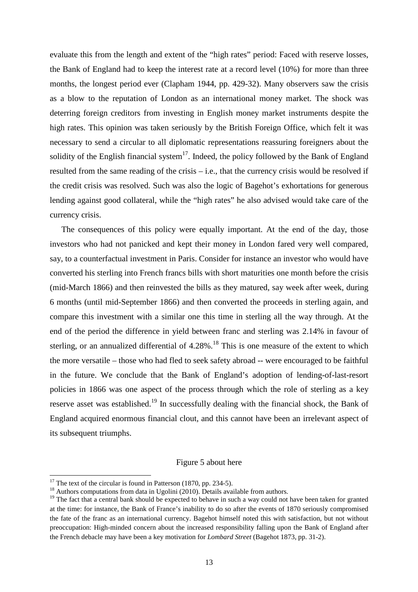evaluate this from the length and extent of the "high rates" period: Faced with reserve losses, the Bank of England had to keep the interest rate at a record level (10%) for more than three months, the longest period ever (Clapham 1944, pp. 429-32). Many observers saw the crisis as a blow to the reputation of London as an international money market. The shock was deterring foreign creditors from investing in English money market instruments despite the high rates. This opinion was taken seriously by the British Foreign Office, which felt it was necessary to send a circular to all diplomatic representations reassuring foreigners about the solidity of the English financial system<sup>17</sup>. Indeed, the policy followed by the Bank of England resulted from the same reading of the crisis – i.e., that the currency crisis would be resolved if the credit crisis was resolved. Such was also the logic of Bagehot's exhortations for generous lending against good collateral, while the "high rates" he also advised would take care of the currency crisis.

The consequences of this policy were equally important. At the end of the day, those investors who had not panicked and kept their money in London fared very well compared, say, to a counterfactual investment in Paris. Consider for instance an investor who would have converted his sterling into French francs bills with short maturities one month before the crisis (mid-March 1866) and then reinvested the bills as they matured, say week after week, during 6 months (until mid-September 1866) and then converted the proceeds in sterling again, and compare this investment with a similar one this time in sterling all the way through. At the end of the period the difference in yield between franc and sterling was 2.14% in favour of sterling, or an annualized differential of  $4.28\%$ .<sup>18</sup> This is one measure of the extent to which the more versatile – those who had fled to seek safety abroad -- were encouraged to be faithful in the future. We conclude that the Bank of England's adoption of lending-of-last-resort policies in 1866 was one aspect of the process through which the role of sterling as a key reserve asset was established.<sup>19</sup> In successfully dealing with the financial shock, the Bank of England acquired enormous financial clout, and this cannot have been an irrelevant aspect of its subsequent triumphs.

#### Figure 5 about here

<sup>&</sup>lt;sup>17</sup> The text of the circular is found in Patterson  $(1870, pp. 234-5)$ .

 $18$  Authors computations from data in Ugolini (2010). Details available from authors.

<sup>&</sup>lt;sup>19</sup> The fact that a central bank should be expected to behave in such a way could not have been taken for granted at the time: for instance, the Bank of France's inability to do so after the events of 1870 seriously compromised the fate of the franc as an international currency. Bagehot himself noted this with satisfaction, but not without preoccupation: High-minded concern about the increased responsibility falling upon the Bank of England after the French debacle may have been a key motivation for *Lombard Street* (Bagehot 1873, pp. 31-2).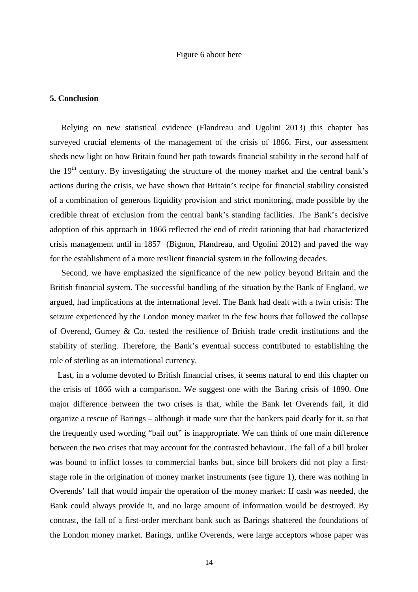#### Figure 6 about here

#### **5. Conclusion**

Relying on new statistical evidence (Flandreau and Ugolini 2013) this chapter has surveyed crucial elements of the management of the crisis of 1866. First, our assessment sheds new light on how Britain found her path towards financial stability in the second half of the  $19<sup>th</sup>$  century. By investigating the structure of the money market and the central bank's actions during the crisis, we have shown that Britain's recipe for financial stability consisted of a combination of generous liquidity provision and strict monitoring, made possible by the credible threat of exclusion from the central bank's standing facilities. The Bank's decisive adoption of this approach in 1866 reflected the end of credit rationing that had characterized crisis management until in 1857 (Bignon, Flandreau, and Ugolini 2012) and paved the way for the establishment of a more resilient financial system in the following decades.

Second, we have emphasized the significance of the new policy beyond Britain and the British financial system. The successful handling of the situation by the Bank of England, we argued, had implications at the international level. The Bank had dealt with a twin crisis: The seizure experienced by the London money market in the few hours that followed the collapse of Overend, Gurney  $\&$  Co. tested the resilience of British trade credit institutions and the stability of sterling. Therefore, the Bank's eventual success contributed to establishing the role of sterling as an international currency.

Last, in a volume devoted to British financial crises, it seems natural to end this chapter on the crisis of 1866 with a comparison. We suggest one with the Baring crisis of 1890. One major difference between the two crises is that, while the Bank let Overends fail, it did organize a rescue of Barings – although it made sure that the bankers paid dearly for it, so that the frequently used wording "bail out" is inappropriate. We can think of one main difference between the two crises that may account for the contrasted behaviour. The fall of a bill broker was bound to inflict losses to commercial banks but, since bill brokers did not play a firststage role in the origination of money market instruments (see figure 1), there was nothing in Overends' fall that would impair the operation of the money market: If cash was needed, the Bank could always provide it, and no large amount of information would be destroyed. By contrast, the fall of a first-order merchant bank such as Barings shattered the foundations of the London money market. Barings, unlike Overends, were large acceptors whose paper was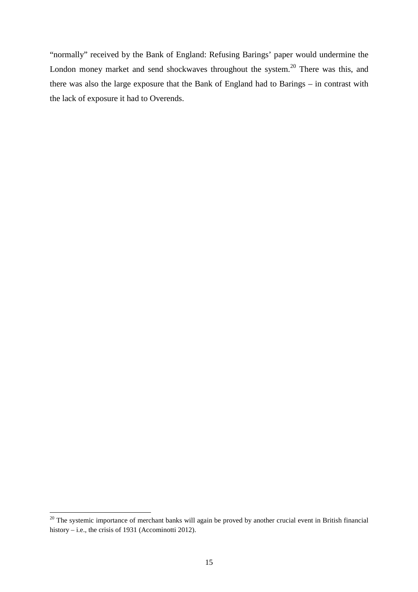"normally" received by the Bank of England: Refusing Barings' paper would undermine the London money market and send shockwaves throughout the system.<sup>20</sup> There was this, and there was also the large exposure that the Bank of England had to Barings – in contrast with the lack of exposure it had to Overends.

<sup>&</sup>lt;sup>20</sup> The systemic importance of merchant banks will again be proved by another crucial event in British financial history – i.e., the crisis of 1931 (Accominotti 2012).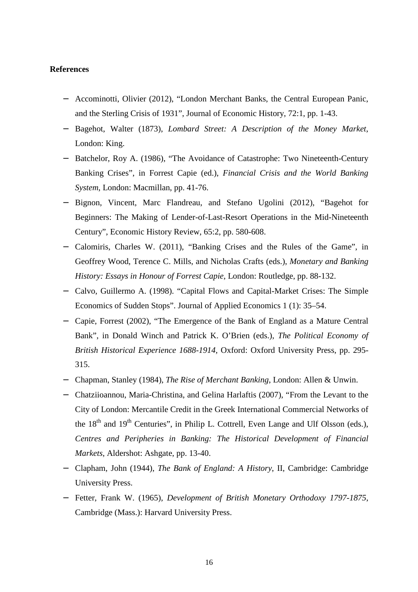# **References**

- − Accominotti, Olivier (2012), "London Merchant Banks, the Central European Panic, and the Sterling Crisis of 1931", Journal of Economic History, 72:1, pp. 1-43.
- − Bagehot, Walter (1873), *Lombard Street: A Description of the Money Market*, London: King.
- − Batchelor, Roy A. (1986), "The Avoidance of Catastrophe: Two Nineteenth-Century Banking Crises", in Forrest Capie (ed.), *Financial Crisis and the World Banking System*, London: Macmillan, pp. 41-76.
- − Bignon, Vincent, Marc Flandreau, and Stefano Ugolini (2012), "Bagehot for Beginners: The Making of Lender-of-Last-Resort Operations in the Mid-Nineteenth Century", Economic History Review, 65:2, pp. 580-608.
- − Calomiris, Charles W. (2011), "Banking Crises and the Rules of the Game", in Geoffrey Wood, Terence C. Mills, and Nicholas Crafts (eds.), *Monetary and Banking History: Essays in Honour of Forrest Capie*, London: Routledge, pp. 88-132.
- − Calvo, Guillermo A. (1998). "Capital Flows and Capital-Market Crises: The Simple Economics of Sudden Stops". Journal of Applied Economics 1 (1): 35–54.
- − Capie, Forrest (2002), "The Emergence of the Bank of England as a Mature Central Bank", in Donald Winch and Patrick K. O'Brien (eds.), *The Political Economy of British Historical Experience 1688-1914*, Oxford: Oxford University Press, pp. 295- 315.
- − Chapman, Stanley (1984), *The Rise of Merchant Banking*, London: Allen & Unwin.
- − Chatziioannou, Maria-Christina, and Gelina Harlaftis (2007), "From the Levant to the City of London: Mercantile Credit in the Greek International Commercial Networks of the  $18<sup>th</sup>$  and  $19<sup>th</sup>$  Centuries", in Philip L. Cottrell, Even Lange and Ulf Olsson (eds.), *Centres and Peripheries in Banking: The Historical Development of Financial Markets*, Aldershot: Ashgate, pp. 13-40.
- − Clapham, John (1944), *The Bank of England: A History*, II, Cambridge: Cambridge University Press.
- − Fetter, Frank W. (1965), *Development of British Monetary Orthodoxy 1797-1875*, Cambridge (Mass.): Harvard University Press.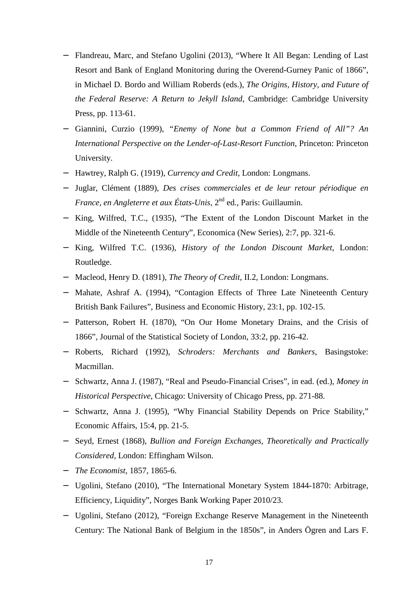- − Flandreau, Marc, and Stefano Ugolini (2013), "Where It All Began: Lending of Last Resort and Bank of England Monitoring during the Overend-Gurney Panic of 1866", in Michael D. Bordo and William Roberds (eds.), *The Origins, History, and Future of the Federal Reserve: A Return to Jekyll Island*, Cambridge: Cambridge University Press, pp. 113-61.
- − Giannini, Curzio (1999), *"Enemy of None but a Common Friend of All"? An International Perspective on the Lender-of-Last-Resort Function*, Princeton: Princeton University.
- − Hawtrey, Ralph G. (1919), *Currency and Credit*, London: Longmans.
- − Juglar, Clément (1889), *Des crises commerciales et de leur retour périodique en France, en Angleterre et aux États-Unis*, 2<sup>nd</sup> ed., Paris: Guillaumin.
- − King, Wilfred, T.C., (1935), "The Extent of the London Discount Market in the Middle of the Nineteenth Century", Economica (New Series), 2:7, pp. 321-6.
- − King, Wilfred T.C. (1936), *History of the London Discount Market*, London: Routledge.
- − Macleod, Henry D. (1891), *The Theory of Credit*, II.2, London: Longmans.
- − Mahate, Ashraf A. (1994), "Contagion Effects of Three Late Nineteenth Century British Bank Failures", Business and Economic History, 23:1, pp. 102-15.
- − Patterson, Robert H. (1870), "On Our Home Monetary Drains, and the Crisis of 1866", Journal of the Statistical Society of London, 33:2, pp. 216-42.
- − Roberts, Richard (1992), *Schroders: Merchants and Bankers*, Basingstoke: Macmillan.
- − Schwartz, Anna J. (1987), "Real and Pseudo-Financial Crises", in ead. (ed.), *Money in Historical Perspective*, Chicago: University of Chicago Press, pp. 271-88.
- − Schwartz, Anna J. (1995), "Why Financial Stability Depends on Price Stability," Economic Affairs, 15:4, pp. 21-5.
- − Seyd, Ernest (1868), *Bullion and Foreign Exchanges, Theoretically and Practically Considered*, London: Effingham Wilson.
- − *The Economist*, 1857, 1865-6.
- − Ugolini, Stefano (2010), "The International Monetary System 1844-1870: Arbitrage, Efficiency, Liquidity", Norges Bank Working Paper 2010/23.
- − Ugolini, Stefano (2012), "Foreign Exchange Reserve Management in the Nineteenth Century: The National Bank of Belgium in the 1850s", in Anders Ögren and Lars F.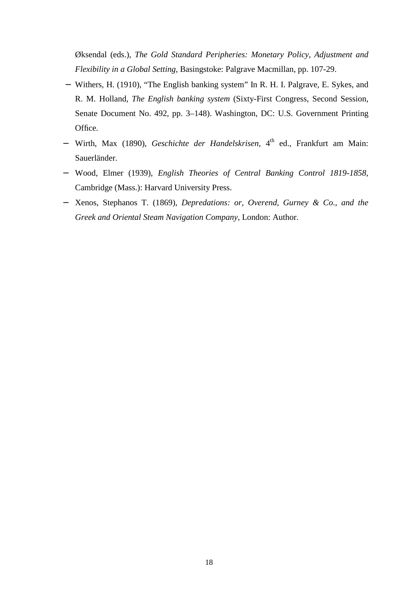Øksendal (eds.), *The Gold Standard Peripheries: Monetary Policy, Adjustment and Flexibility in a Global Setting*, Basingstoke: Palgrave Macmillan, pp. 107-29.

- − Withers, H. (1910), "The English banking system" In R. H. I. Palgrave, E. Sykes, and R. M. Holland, *The English banking system* (Sixty-First Congress, Second Session, Senate Document No. 492, pp. 3–148). Washington, DC: U.S. Government Printing Office.
- − Wirth, Max (1890), *Geschichte der Handelskrisen*, 4th ed., Frankfurt am Main: Sauerländer.
- − Wood, Elmer (1939), *English Theories of Central Banking Control 1819-1858*, Cambridge (Mass.): Harvard University Press.
- − Xenos, Stephanos T. (1869), *Depredations: or, Overend, Gurney & Co., and the Greek and Oriental Steam Navigation Company*, London: Author.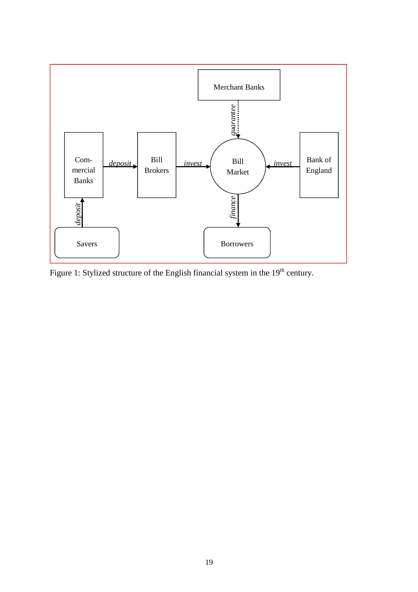

Figure 1: Stylized structure of the English financial system in the 19<sup>th</sup> century.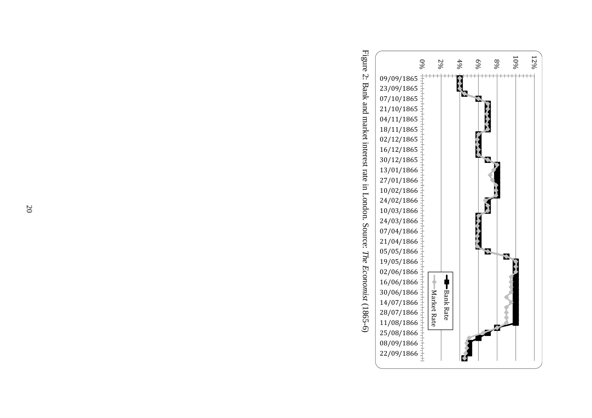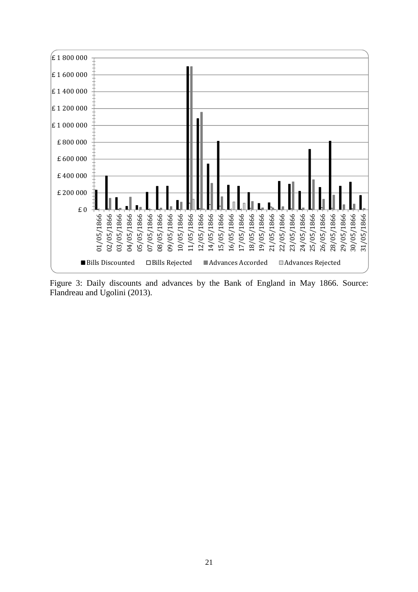

Figure 3: Daily discounts and advances by the Bank of England in May 1866. Source: Flandreau and Ugolini (2013).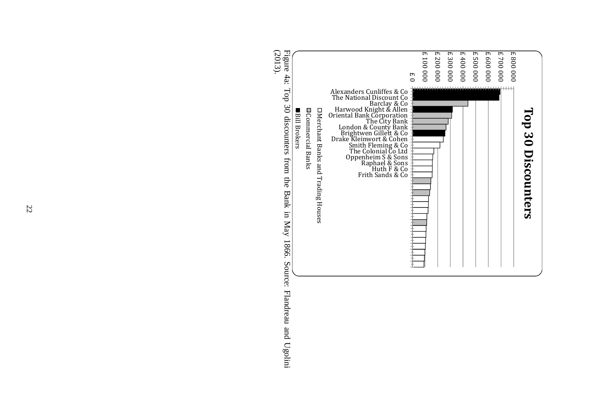

Figure 4a: Top 30 discounters from the Bank in May 1866. Source: Flandreau and Ugolini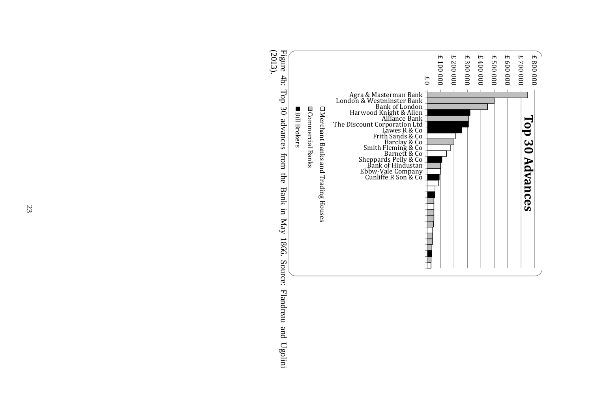

23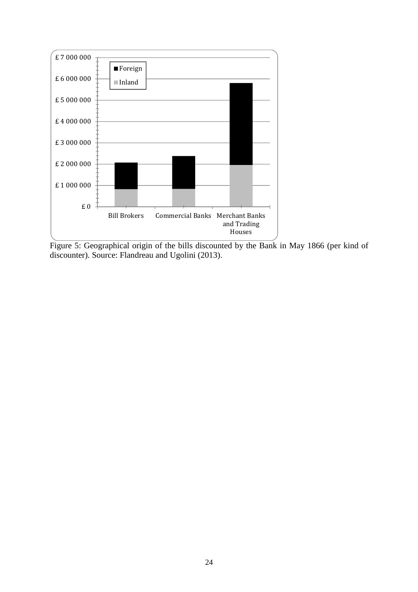

Figure 5: Geographical origin of the bills discounted by the Bank in May 1866 (per kind of discounter). Source: Flandreau and Ugolini (2013).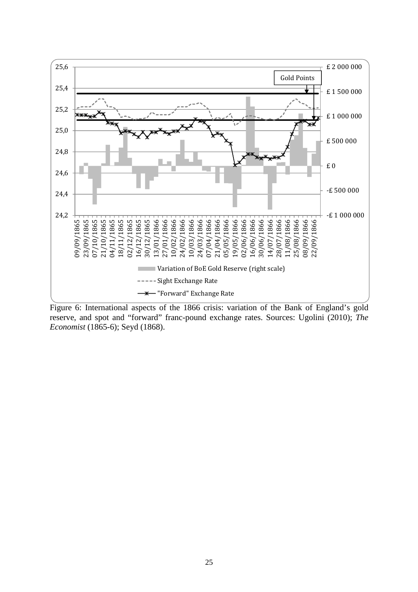

Figure 6: International aspects of the 1866 crisis: variation of the Bank of England's gold reserve, and spot and "forward" franc-pound exchange rates. Sources: Ugolini (2010); *The Economist* (1865-6); Seyd (1868).